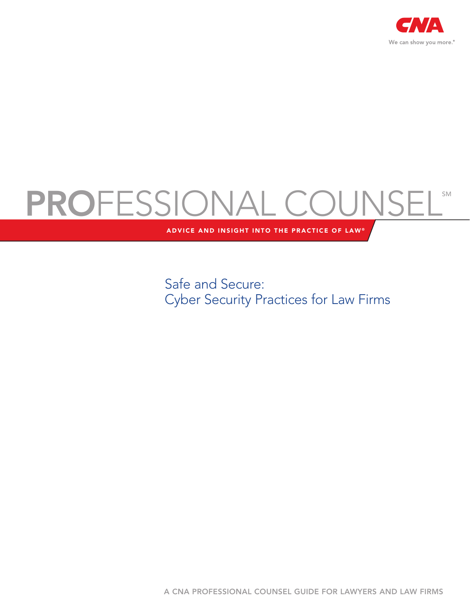

# PROFESSIONAL COUNSEL®

ADVICE AND INSIGHT INTO THE PRACTICE OF LAW®

Safe and Secure: Cyber Security Practices for Law Firms

A CNA PROFESSIONAL COUNSEL GUIDE FOR LAWYERS AND LAW FIRMS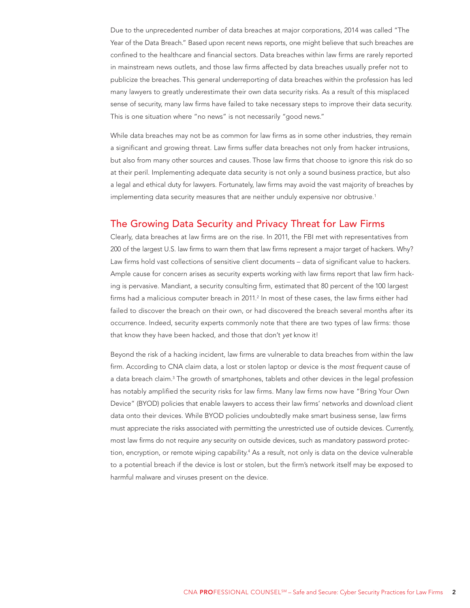Due to the unprecedented number of data breaches at major corporations, 2014 was called "The Year of the Data Breach." Based upon recent news reports, one might believe that such breaches are confined to the healthcare and financial sectors. Data breaches within law firms are rarely reported in mainstream news outlets, and those law firms affected by data breaches usually prefer not to publicize the breaches. This general underreporting of data breaches within the profession has led many lawyers to greatly underestimate their own data security risks. As a result of this misplaced sense of security, many law firms have failed to take necessary steps to improve their data security. This is one situation where "no news" is not necessarily "good news."

While data breaches may not be as common for law firms as in some other industries, they remain a significant and growing threat. Law firms suffer data breaches not only from hacker intrusions, but also from many other sources and causes. Those law firms that choose to ignore this risk do so at their peril. Implementing adequate data security is not only a sound business practice, but also a legal and ethical duty for lawyers. Fortunately, law firms may avoid the vast majority of breaches by implementing data security measures that are neither unduly expensive nor obtrusive.1

# The Growing Data Security and Privacy Threat for Law Firms

Clearly, data breaches at law firms are on the rise. In 2011, the FBI met with representatives from 200 of the largest U.S. law firms to warn them that law firms represent a major target of hackers. Why? Law firms hold vast collections of sensitive client documents – data of significant value to hackers. Ample cause for concern arises as security experts working with law firms report that law firm hacking is pervasive. Mandiant, a security consulting firm, estimated that 80 percent of the 100 largest firms had a malicious computer breach in 2011.<sup>2</sup> In most of these cases, the law firms either had failed to discover the breach on their own, or had discovered the breach several months after its occurrence. Indeed, security experts commonly note that there are two types of law firms: those that know they have been hacked, and those that don't yet know it!

Beyond the risk of a hacking incident, law firms are vulnerable to data breaches from within the law firm. According to CNA claim data, a lost or stolen laptop or device is the most frequent cause of a data breach claim.<sup>3</sup> The growth of smartphones, tablets and other devices in the legal profession has notably amplified the security risks for law firms. Many law firms now have "Bring Your Own Device" (BYOD) policies that enable lawyers to access their law firms' networks and download client data onto their devices. While BYOD policies undoubtedly make smart business sense, law firms must appreciate the risks associated with permitting the unrestricted use of outside devices. Currently, most law firms do not require any security on outside devices, such as mandatory password protection, encryption, or remote wiping capability.<sup>4</sup> As a result, not only is data on the device vulnerable to a potential breach if the device is lost or stolen, but the firm's network itself may be exposed to harmful malware and viruses present on the device.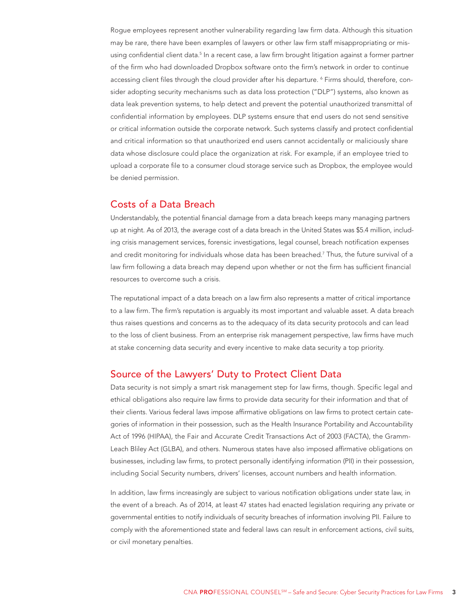Rogue employees represent another vulnerability regarding law firm data. Although this situation may be rare, there have been examples of lawyers or other law firm staff misappropriating or misusing confidential client data.<sup>5</sup> In a recent case, a law firm brought litigation against a former partner of the firm who had downloaded Dropbox software onto the firm's network in order to continue accessing client files through the cloud provider after his departure. <sup>6</sup> Firms should, therefore, consider adopting security mechanisms such as data loss protection ("DLP") systems, also known as data leak prevention systems, to help detect and prevent the potential unauthorized transmittal of confidential information by employees. DLP systems ensure that end users do not send sensitive or critical information outside the corporate network. Such systems classify and protect confidential and critical information so that unauthorized end users cannot accidentally or maliciously share data whose disclosure could place the organization at risk. For example, if an employee tried to upload a corporate file to a consumer cloud storage service such as Dropbox, the employee would be denied permission.

## Costs of a Data Breach

Understandably, the potential financial damage from a data breach keeps many managing partners up at night. As of 2013, the average cost of a data breach in the United States was \$5.4 million, including crisis management services, forensic investigations, legal counsel, breach notification expenses and credit monitoring for individuals whose data has been breached.7 Thus, the future survival of a law firm following a data breach may depend upon whether or not the firm has sufficient financial resources to overcome such a crisis.

The reputational impact of a data breach on a law firm also represents a matter of critical importance to a law firm. The firm's reputation is arguably its most important and valuable asset. A data breach thus raises questions and concerns as to the adequacy of its data security protocols and can lead to the loss of client business. From an enterprise risk management perspective, law firms have much at stake concerning data security and every incentive to make data security a top priority.

## Source of the Lawyers' Duty to Protect Client Data

Data security is not simply a smart risk management step for law firms, though. Specific legal and ethical obligations also require law firms to provide data security for their information and that of their clients. Various federal laws impose affirmative obligations on law firms to protect certain categories of information in their possession, such as the Health Insurance Portability and Accountability Act of 1996 (HIPAA), the Fair and Accurate Credit Transactions Act of 2003 (FACTA), the Gramm-Leach Bliley Act (GLBA), and others. Numerous states have also imposed affirmative obligations on businesses, including law firms, to protect personally identifying information (PII) in their possession, including Social Security numbers, drivers' licenses, account numbers and health information.

In addition, law firms increasingly are subject to various notification obligations under state law, in the event of a breach. As of 2014, at least 47 states had enacted legislation requiring any private or governmental entities to notify individuals of security breaches of information involving PII. Failure to comply with the aforementioned state and federal laws can result in enforcement actions, civil suits, or civil monetary penalties.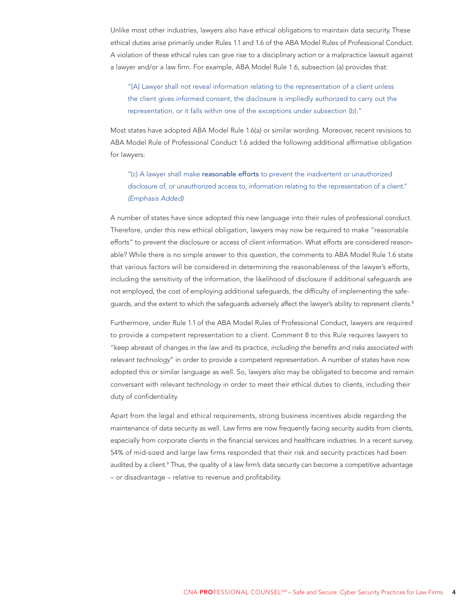Unlike most other industries, lawyers also have ethical obligations to maintain data security. These ethical duties arise primarily under Rules 1.1 and 1.6 of the ABA Model Rules of Professional Conduct. A violation of these ethical rules can give rise to a disciplinary action or a malpractice lawsuit against a lawyer and/or a law firm. For example, ABA Model Rule 1.6, subsection (a) provides that:

"[A] Lawyer shall not reveal information relating to the representation of a client unless the client gives informed consent, the disclosure is impliedly authorized to carry out the representation, or it falls within one of the exceptions under subsection (b)."

Most states have adopted ABA Model Rule 1.6(a) or similar wording. Moreover, recent revisions to ABA Model Rule of Professional Conduct 1.6 added the following additional affirmative obligation for lawyers:

"(c) A lawyer shall make reasonable efforts to prevent the inadvertent or unauthorized disclosure of, or unauthorized access to, information relating to the representation of a client." (Emphasis Added)

A number of states have since adopted this new language into their rules of professional conduct. Therefore, under this new ethical obligation, lawyers may now be required to make "reasonable efforts" to prevent the disclosure or access of client information. What efforts are considered reasonable? While there is no simple answer to this question, the comments to ABA Model Rule 1.6 state that various factors will be considered in determining the reasonableness of the lawyer's efforts, including the sensitivity of the information, the likelihood of disclosure if additional safeguards are not employed, the cost of employing additional safeguards, the difficulty of implementing the safeguards, and the extent to which the safeguards adversely affect the lawyer's ability to represent clients.<sup>8</sup>

Furthermore, under Rule 1.1 of the ABA Model Rules of Professional Conduct, lawyers are required to provide a competent representation to a client. Comment 8 to this Rule requires lawyers to "keep abreast of changes in the law and its practice, including the benefits and risks associated with relevant technology" in order to provide a competent representation. A number of states have now adopted this or similar language as well. So, lawyers also may be obligated to become and remain conversant with relevant technology in order to meet their ethical duties to clients, including their duty of confidentiality.

Apart from the legal and ethical requirements, strong business incentives abide regarding the maintenance of data security as well. Law firms are now frequently facing security audits from clients, especially from corporate clients in the financial services and healthcare industries. In a recent survey, 54% of mid-sized and large law firms responded that their risk and security practices had been audited by a client.<sup>9</sup> Thus, the quality of a law firm's data security can become a competitive advantage – or disadvantage – relative to revenue and profitability.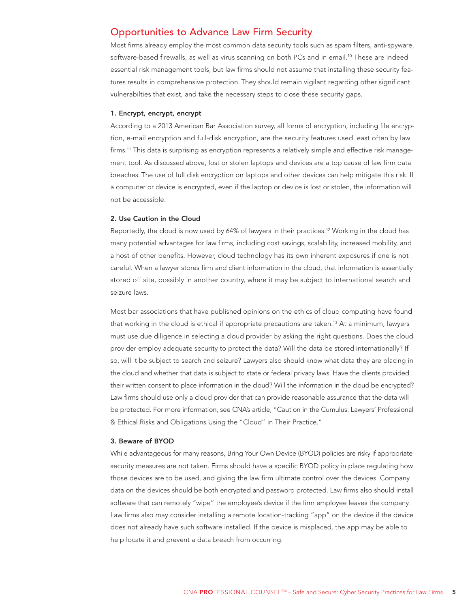## Opportunities to Advance Law Firm Security

Most firms already employ the most common data security tools such as spam filters, anti-spyware, software-based firewalls, as well as virus scanning on both PCs and in email.<sup>10</sup> These are indeed essential risk management tools, but law firms should not assume that installing these security features results in comprehensive protection. They should remain vigilant regarding other significant vulnerabilties that exist, and take the necessary steps to close these security gaps.

#### 1. Encrypt, encrypt, encrypt

According to a 2013 American Bar Association survey, all forms of encryption, including file encryption, e-mail encryption and full-disk encryption, are the security features used least often by law firms.<sup>11</sup> This data is surprising as encryption represents a relatively simple and effective risk management tool. As discussed above, lost or stolen laptops and devices are a top cause of law firm data breaches. The use of full disk encryption on laptops and other devices can help mitigate this risk. If a computer or device is encrypted, even if the laptop or device is lost or stolen, the information will not be accessible.

#### 2. Use Caution in the Cloud

Reportedly, the cloud is now used by 64% of lawyers in their practices.<sup>12</sup> Working in the cloud has many potential advantages for law firms, including cost savings, scalability, increased mobility, and a host of other benefits. However, cloud technology has its own inherent exposures if one is not careful. When a lawyer stores firm and client information in the cloud, that information is essentially stored off site, possibly in another country, where it may be subject to international search and seizure laws.

Most bar associations that have published opinions on the ethics of cloud computing have found that working in the cloud is ethical if appropriate precautions are taken.13 At a minimum, lawyers must use due diligence in selecting a cloud provider by asking the right questions. Does the cloud provider employ adequate security to protect the data? Will the data be stored internationally? If so, will it be subject to search and seizure? Lawyers also should know what data they are placing in the cloud and whether that data is subject to state or federal privacy laws. Have the clients provided their written consent to place information in the cloud? Will the information in the cloud be encrypted? Law firms should use only a cloud provider that can provide reasonable assurance that the data will be protected. For more information, see CNA's article, "Caution in the Cumulus: Lawyers' Professional & Ethical Risks and Obligations Using the "Cloud" in Their Practice."

#### 3. Beware of BYOD

While advantageous for many reasons, Bring Your Own Device (BYOD) policies are risky if appropriate security measures are not taken. Firms should have a specific BYOD policy in place regulating how those devices are to be used, and giving the law firm ultimate control over the devices. Company data on the devices should be both encrypted and password protected. Law firms also should install software that can remotely "wipe" the employee's device if the firm employee leaves the company. Law firms also may consider installing a remote location-tracking "app" on the device if the device does not already have such software installed. If the device is misplaced, the app may be able to help locate it and prevent a data breach from occurring.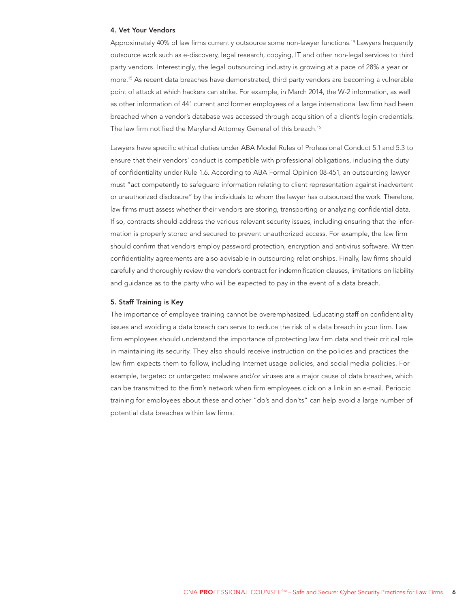#### 4. Vet Your Vendors

Approximately 40% of law firms currently outsource some non-lawyer functions.14 Lawyers frequently outsource work such as e-discovery, legal research, copying, IT and other non-legal services to third party vendors. Interestingly, the legal outsourcing industry is growing at a pace of 28% a year or more.15 As recent data breaches have demonstrated, third party vendors are becoming a vulnerable point of attack at which hackers can strike. For example, in March 2014, the W-2 information, as well as other information of 441 current and former employees of a large international law firm had been breached when a vendor's database was accessed through acquisition of a client's login credentials. The law firm notified the Maryland Attorney General of this breach.<sup>16</sup>

Lawyers have specific ethical duties under ABA Model Rules of Professional Conduct 5.1 and 5.3 to ensure that their vendors' conduct is compatible with professional obligations, including the duty of confidentiality under Rule 1.6. According to ABA Formal Opinion 08-451, an outsourcing lawyer must "act competently to safeguard information relating to client representation against inadvertent or unauthorized disclosure" by the individuals to whom the lawyer has outsourced the work. Therefore, law firms must assess whether their vendors are storing, transporting or analyzing confidential data. If so, contracts should address the various relevant security issues, including ensuring that the information is properly stored and secured to prevent unauthorized access. For example, the law firm should confirm that vendors employ password protection, encryption and antivirus software. Written confidentiality agreements are also advisable in outsourcing relationships. Finally, law firms should carefully and thoroughly review the vendor's contract for indemnification clauses, limitations on liability and guidance as to the party who will be expected to pay in the event of a data breach.

#### 5. Staff Training is Key

The importance of employee training cannot be overemphasized. Educating staff on confidentiality issues and avoiding a data breach can serve to reduce the risk of a data breach in your firm. Law firm employees should understand the importance of protecting law firm data and their critical role in maintaining its security. They also should receive instruction on the policies and practices the law firm expects them to follow, including Internet usage policies, and social media policies. For example, targeted or untargeted malware and/or viruses are a major cause of data breaches, which can be transmitted to the firm's network when firm employees click on a link in an e-mail. Periodic training for employees about these and other "do's and don'ts" can help avoid a large number of potential data breaches within law firms.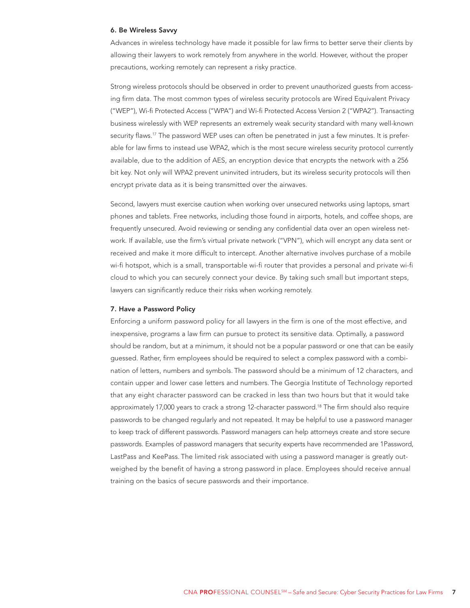#### 6. Be Wireless Savvy

Advances in wireless technology have made it possible for law firms to better serve their clients by allowing their lawyers to work remotely from anywhere in the world. However, without the proper precautions, working remotely can represent a risky practice.

Strong wireless protocols should be observed in order to prevent unauthorized guests from accessing firm data. The most common types of wireless security protocols are Wired Equivalent Privacy ("WEP"), Wi-fi Protected Access ("WPA") and Wi-fi Protected Access Version 2 ("WPA2"). Transacting business wirelessly with WEP represents an extremely weak security standard with many well-known security flaws.<sup>17</sup> The password WEP uses can often be penetrated in just a few minutes. It is preferable for law firms to instead use WPA2, which is the most secure wireless security protocol currently available, due to the addition of AES, an encryption device that encrypts the network with a 256 bit key. Not only will WPA2 prevent uninvited intruders, but its wireless security protocols will then encrypt private data as it is being transmitted over the airwaves.

Second, lawyers must exercise caution when working over unsecured networks using laptops, smart phones and tablets. Free networks, including those found in airports, hotels, and coffee shops, are frequently unsecured. Avoid reviewing or sending any confidential data over an open wireless network. If available, use the firm's virtual private network ("VPN"), which will encrypt any data sent or received and make it more difficult to intercept. Another alternative involves purchase of a mobile wi-fi hotspot, which is a small, transportable wi-fi router that provides a personal and private wi-fi cloud to which you can securely connect your device. By taking such small but important steps, lawyers can significantly reduce their risks when working remotely.

#### 7. Have a Password Policy

Enforcing a uniform password policy for all lawyers in the firm is one of the most effective, and inexpensive, programs a law firm can pursue to protect its sensitive data. Optimally, a password should be random, but at a minimum, it should not be a popular password or one that can be easily guessed. Rather, firm employees should be required to select a complex password with a combination of letters, numbers and symbols. The password should be a minimum of 12 characters, and contain upper and lower case letters and numbers. The Georgia Institute of Technology reported that any eight character password can be cracked in less than two hours but that it would take approximately 17,000 years to crack a strong 12-character password.<sup>18</sup> The firm should also require passwords to be changed regularly and not repeated. It may be helpful to use a password manager to keep track of different passwords. Password managers can help attorneys create and store secure passwords. Examples of password managers that security experts have recommended are 1Password, LastPass and KeePass. The limited risk associated with using a password manager is greatly outweighed by the benefit of having a strong password in place. Employees should receive annual training on the basics of secure passwords and their importance.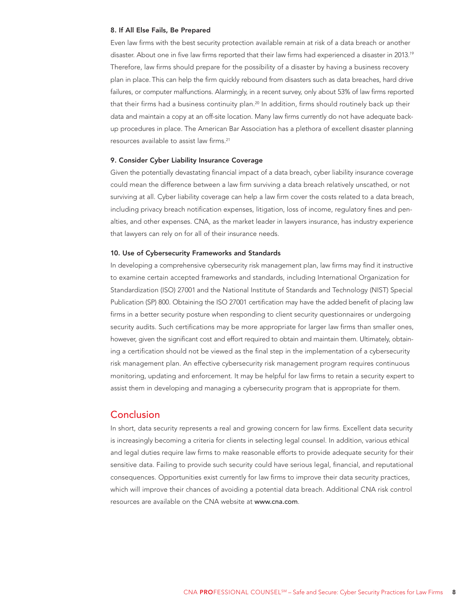#### 8. If All Else Fails, Be Prepared

Even law firms with the best security protection available remain at risk of a data breach or another disaster. About one in five law firms reported that their law firms had experienced a disaster in 2013.<sup>19</sup> Therefore, law firms should prepare for the possibility of a disaster by having a business recovery plan in place. This can help the firm quickly rebound from disasters such as data breaches, hard drive failures, or computer malfunctions. Alarmingly, in a recent survey, only about 53% of law firms reported that their firms had a business continuity plan.<sup>20</sup> In addition, firms should routinely back up their data and maintain a copy at an off-site location. Many law firms currently do not have adequate backup procedures in place. The American Bar Association has a plethora of excellent disaster planning resources available to assist law firms.21

#### 9. Consider Cyber Liability Insurance Coverage

Given the potentially devastating financial impact of a data breach, cyber liability insurance coverage could mean the difference between a law firm surviving a data breach relatively unscathed, or not surviving at all. Cyber liability coverage can help a law firm cover the costs related to a data breach, including privacy breach notification expenses, litigation, loss of income, regulatory fines and penalties, and other expenses. CNA, as the market leader in lawyers insurance, has industry experience that lawyers can rely on for all of their insurance needs.

#### 10. Use of Cybersecurity Frameworks and Standards

In developing a comprehensive cybersecurity risk management plan, law firms may find it instructive to examine certain accepted frameworks and standards, including International Organization for Standardization (ISO) 27001 and the National Institute of Standards and Technology (NIST) Special Publication (SP) 800. Obtaining the ISO 27001 certification may have the added benefit of placing law firms in a better security posture when responding to client security questionnaires or undergoing security audits. Such certifications may be more appropriate for larger law firms than smaller ones, however, given the significant cost and effort required to obtain and maintain them. Ultimately, obtaining a certification should not be viewed as the final step in the implementation of a cybersecurity risk management plan. An effective cybersecurity risk management program requires continuous monitoring, updating and enforcement. It may be helpful for law firms to retain a security expert to assist them in developing and managing a cybersecurity program that is appropriate for them.

## Conclusion

In short, data security represents a real and growing concern for law firms. Excellent data security is increasingly becoming a criteria for clients in selecting legal counsel. In addition, various ethical and legal duties require law firms to make reasonable efforts to provide adequate security for their sensitive data. Failing to provide such security could have serious legal, financial, and reputational consequences. Opportunities exist currently for law firms to improve their data security practices, which will improve their chances of avoiding a potential data breach. Additional CNA risk control resources are available on the CNA website at <www.cna.com>.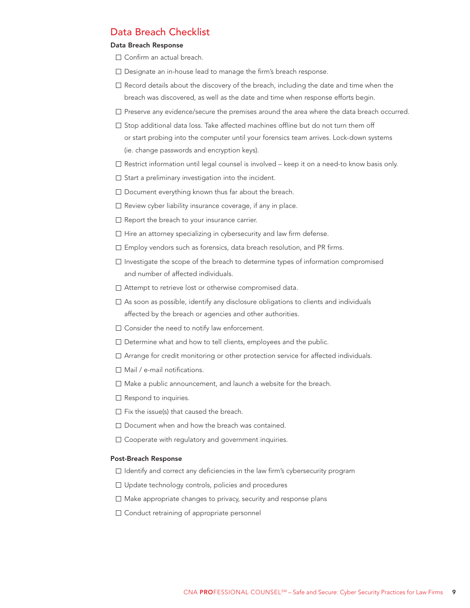# Data Breach Checklist

### Data Breach Response

- □ Confirm an actual breach.
- Designate an in-house lead to manage the firm's breach response.
- $\Box$  Record details about the discovery of the breach, including the date and time when the breach was discovered, as well as the date and time when response efforts begin.
- $\square$  Preserve any evidence/secure the premises around the area where the data breach occurred.
- $\square$  Stop additional data loss. Take affected machines offline but do not turn them off or start probing into the computer until your forensics team arrives. Lock-down systems (ie. change passwords and encryption keys).
- $\Box$  Restrict information until legal counsel is involved keep it on a need-to know basis only.
- $\square$  Start a preliminary investigation into the incident.
- $\square$  Document everything known thus far about the breach.
- $\Box$  Review cyber liability insurance coverage, if any in place.
- $\Box$  Report the breach to your insurance carrier.
- $\Box$  Hire an attorney specializing in cybersecurity and law firm defense.
- $\Box$  Employ vendors such as forensics, data breach resolution, and PR firms.
- $\Box$  Investigate the scope of the breach to determine types of information compromised and number of affected individuals.
- □ Attempt to retrieve lost or otherwise compromised data.
- $\Box$  As soon as possible, identify any disclosure obligations to clients and individuals affected by the breach or agencies and other authorities.
- $\square$  Consider the need to notify law enforcement.
- $\square$  Determine what and how to tell clients, employees and the public.
- Arrange for credit monitoring or other protection service for affected individuals.
- $\Box$  Mail / e-mail notifications.
- $\Box$  Make a public announcement, and launch a website for the breach.
- $\Box$  Respond to inquiries.
- $\Box$  Fix the issue(s) that caused the breach.
- $\square$  Document when and how the breach was contained.
- □ Cooperate with regulatory and government inquiries.

#### Post-Breach Response

- $\Box$  Identify and correct any deficiencies in the law firm's cybersecurity program
- Update technology controls, policies and procedures
- $\Box$  Make appropriate changes to privacy, security and response plans
- □ Conduct retraining of appropriate personnel